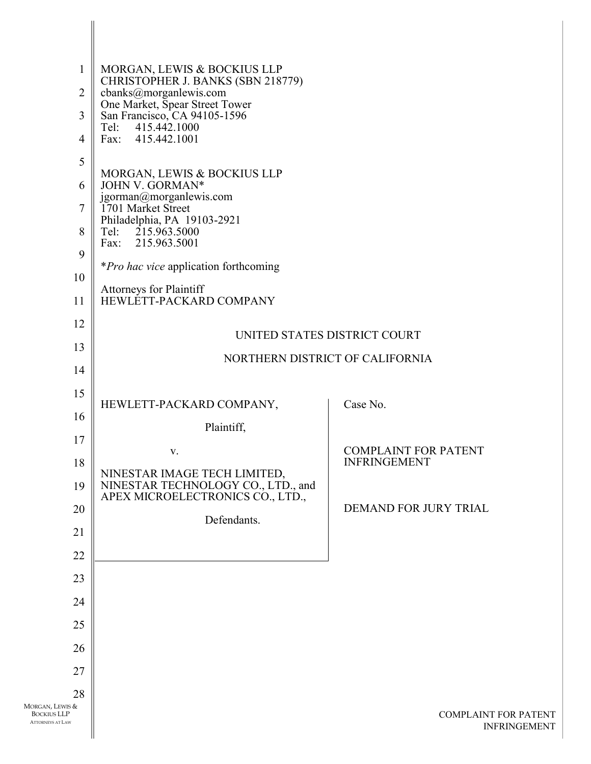| $\mathbf{1}$                                                     | MORGAN, LEWIS & BOCKIUS LLP<br>CHRISTOPHER J. BANKS (SBN 218779)                                       |                                                    |
|------------------------------------------------------------------|--------------------------------------------------------------------------------------------------------|----------------------------------------------------|
| $\overline{2}$                                                   | cbanks@morganlewis.com<br>One Market, Spear Street Tower                                               |                                                    |
| $\overline{3}$                                                   | San Francisco, CA 94105-1596<br>Tel: 415.442.1000                                                      |                                                    |
| $\overline{4}$                                                   | Fax: 415.442.1001                                                                                      |                                                    |
| 5                                                                | MORGAN, LEWIS & BOCKIUS LLP                                                                            |                                                    |
| 6                                                                | JOHN V. GORMAN*<br>jgorman@morganlewis.com                                                             |                                                    |
| $\overline{7}$                                                   | 1701 Market Street                                                                                     |                                                    |
| 8                                                                | Philadelphia, PA 19103-2921<br>Tel: 215.963.5000<br>Fax: 215.963.5001                                  |                                                    |
| 9                                                                |                                                                                                        |                                                    |
| 10                                                               | <i>*Pro hac vice</i> application forthcoming                                                           |                                                    |
| 11                                                               | <b>Attorneys for Plaintiff</b><br>HEWLETT-PACKARD COMPANY                                              |                                                    |
| 12                                                               |                                                                                                        | UNITED STATES DISTRICT COURT                       |
| 13                                                               |                                                                                                        | NORTHERN DISTRICT OF CALIFORNIA                    |
| 14                                                               |                                                                                                        |                                                    |
| 15                                                               | HEWLETT-PACKARD COMPANY,                                                                               | Case No.                                           |
| 16                                                               | Plaintiff,                                                                                             |                                                    |
| 17                                                               | V.                                                                                                     | <b>COMPLAINT FOR PATENT</b>                        |
| 18                                                               |                                                                                                        | <b>INFRINGEMENT</b>                                |
| 19                                                               | NINESTAR IMAGE TECH LIMITED,<br>NINESTAR TECHNOLOGY CO., LTD., and<br>APEX MICROELECTRONICS CO., LTD., |                                                    |
| 20                                                               |                                                                                                        | DEMAND FOR JURY TRIAL                              |
| 21                                                               | Defendants.                                                                                            |                                                    |
| 22                                                               |                                                                                                        |                                                    |
| 23                                                               |                                                                                                        |                                                    |
| 24                                                               |                                                                                                        |                                                    |
| 25                                                               |                                                                                                        |                                                    |
| 26                                                               |                                                                                                        |                                                    |
| 27                                                               |                                                                                                        |                                                    |
| 28                                                               |                                                                                                        |                                                    |
| Morgan, Lewis &<br><b>BOCKIUS LLP</b><br><b>ATTORNEYS AT LAW</b> |                                                                                                        | <b>COMPLAINT FOR PATENT</b><br><b>INFRINGEMENT</b> |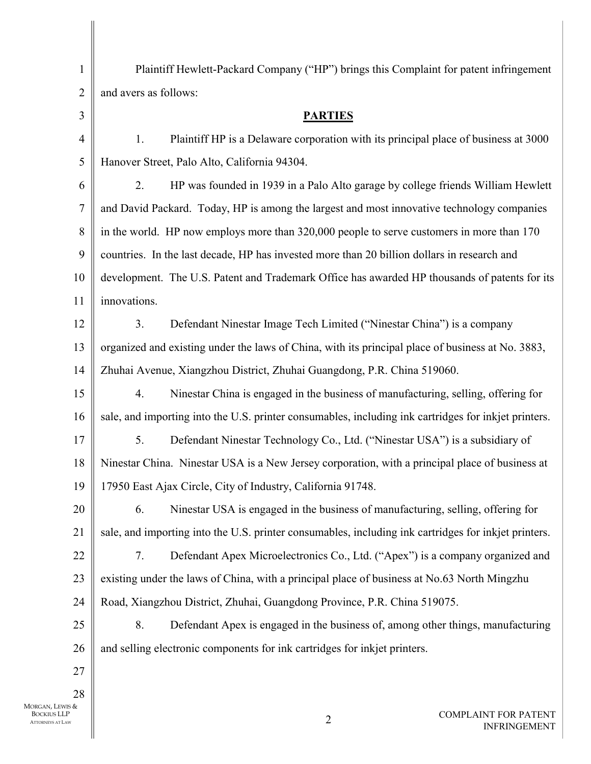| $\mathbf{1}$     | Plaintiff Hewlett-Packard Company ("HP") brings this Complaint for patent infringement               |
|------------------|------------------------------------------------------------------------------------------------------|
| $\overline{2}$   | and avers as follows:                                                                                |
| $\mathfrak{Z}$   | <b>PARTIES</b>                                                                                       |
| $\overline{4}$   | Plaintiff HP is a Delaware corporation with its principal place of business at 3000<br>1.            |
| 5                | Hanover Street, Palo Alto, California 94304.                                                         |
| 6                | HP was founded in 1939 in a Palo Alto garage by college friends William Hewlett<br>2.                |
| $\boldsymbol{7}$ | and David Packard. Today, HP is among the largest and most innovative technology companies           |
| 8                | in the world. HP now employs more than 320,000 people to serve customers in more than 170            |
| 9                | countries. In the last decade, HP has invested more than 20 billion dollars in research and          |
| 10               | development. The U.S. Patent and Trademark Office has awarded HP thousands of patents for its        |
| 11               | innovations.                                                                                         |
| 12               | Defendant Ninestar Image Tech Limited ("Ninestar China") is a company<br>3.                          |
| 13               | organized and existing under the laws of China, with its principal place of business at No. 3883,    |
| 14               | Zhuhai Avenue, Xiangzhou District, Zhuhai Guangdong, P.R. China 519060.                              |
| 15               | Ninestar China is engaged in the business of manufacturing, selling, offering for<br>4.              |
| 16               | sale, and importing into the U.S. printer consumables, including ink cartridges for inkjet printers. |
| 17               | Defendant Ninestar Technology Co., Ltd. ("Ninestar USA") is a subsidiary of<br>5.                    |
| 18               | Ninestar China. Ninestar USA is a New Jersey corporation, with a principal place of business at      |
| 19               | 17950 East Ajax Circle, City of Industry, California 91748.                                          |
| 20               | Ninestar USA is engaged in the business of manufacturing, selling, offering for<br>6.                |
| 21               | sale, and importing into the U.S. printer consumables, including ink cartridges for inkjet printers. |
| 22               | Defendant Apex Microelectronics Co., Ltd. ("Apex") is a company organized and<br>7.                  |
| 23               | existing under the laws of China, with a principal place of business at No.63 North Mingzhu          |
| 24               | Road, Xiangzhou District, Zhuhai, Guangdong Province, P.R. China 519075.                             |
| 25               | Defendant Apex is engaged in the business of, among other things, manufacturing<br>8.                |
| 26               | and selling electronic components for ink cartridges for inkjet printers.                            |
| 27               |                                                                                                      |
| 28<br>IS &       |                                                                                                      |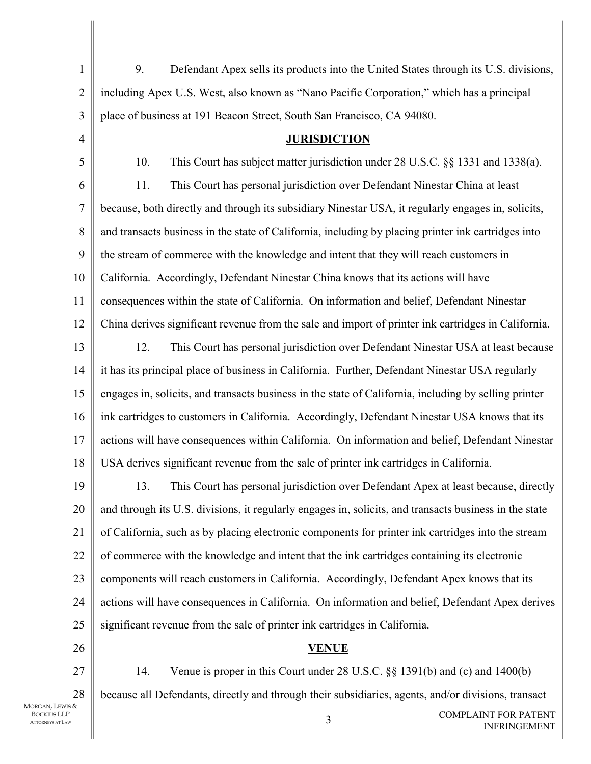3 COMPLAINT FOR PATENT INFRINGEMENT 1  $\mathfrak{D}$ 3 4 5 6 7 8 9 10 11 12 13 14 15 16 17 18 19 20 21 22 23 24 25 26 27 28 MORGAN, LEWIS & BOCKIUS LLP ATTORNEYS AT LAW 9. Defendant Apex sells its products into the United States through its U.S. divisions, including Apex U.S. West, also known as "Nano Pacific Corporation," which has a principal place of business at 191 Beacon Street, South San Francisco, CA 94080. **JURISDICTION** 10. This Court has subject matter jurisdiction under 28 U.S.C. §§ 1331 and 1338(a). 11. This Court has personal jurisdiction over Defendant Ninestar China at least because, both directly and through its subsidiary Ninestar USA, it regularly engages in, solicits, and transacts business in the state of California, including by placing printer ink cartridges into the stream of commerce with the knowledge and intent that they will reach customers in California. Accordingly, Defendant Ninestar China knows that its actions will have consequences within the state of California. On information and belief, Defendant Ninestar China derives significant revenue from the sale and import of printer ink cartridges in California. 12. This Court has personal jurisdiction over Defendant Ninestar USA at least because it has its principal place of business in California. Further, Defendant Ninestar USA regularly engages in, solicits, and transacts business in the state of California, including by selling printer ink cartridges to customers in California. Accordingly, Defendant Ninestar USA knows that its actions will have consequences within California. On information and belief, Defendant Ninestar USA derives significant revenue from the sale of printer ink cartridges in California. 13. This Court has personal jurisdiction over Defendant Apex at least because, directly and through its U.S. divisions, it regularly engages in, solicits, and transacts business in the state of California, such as by placing electronic components for printer ink cartridges into the stream of commerce with the knowledge and intent that the ink cartridges containing its electronic components will reach customers in California. Accordingly, Defendant Apex knows that its actions will have consequences in California. On information and belief, Defendant Apex derives significant revenue from the sale of printer ink cartridges in California. **VENUE** 14. Venue is proper in this Court under 28 U.S.C. §§ 1391(b) and (c) and 1400(b) because all Defendants, directly and through their subsidiaries, agents, and/or divisions, transact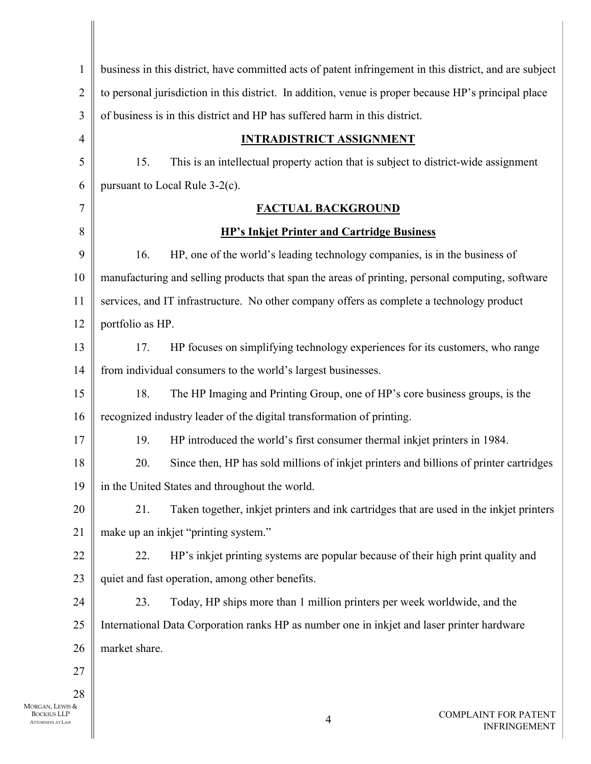| $\mathbf{1}$       | business in this district, have committed acts of patent infringement in this district, and are subject |
|--------------------|---------------------------------------------------------------------------------------------------------|
| $\overline{2}$     | to personal jurisdiction in this district. In addition, venue is proper because HP's principal place    |
| 3                  | of business is in this district and HP has suffered harm in this district.                              |
| 4                  | <b>INTRADISTRICT ASSIGNMENT</b>                                                                         |
| 5                  | This is an intellectual property action that is subject to district-wide assignment<br>15.              |
| 6                  | pursuant to Local Rule 3-2(c).                                                                          |
| 7                  | <b>FACTUAL BACKGROUND</b>                                                                               |
| 8                  | <b>HP's Inkjet Printer and Cartridge Business</b>                                                       |
| 9                  | HP, one of the world's leading technology companies, is in the business of<br>16.                       |
| 10                 | manufacturing and selling products that span the areas of printing, personal computing, software        |
| 11                 | services, and IT infrastructure. No other company offers as complete a technology product               |
| 12                 | portfolio as HP.                                                                                        |
| 13                 | HP focuses on simplifying technology experiences for its customers, who range<br>17.                    |
| 14                 | from individual consumers to the world's largest businesses.                                            |
| 15                 | 18.<br>The HP Imaging and Printing Group, one of HP's core business groups, is the                      |
| 16                 | recognized industry leader of the digital transformation of printing.                                   |
| 17                 | 19.<br>HP introduced the world's first consumer thermal inkjet printers in 1984.                        |
| 18                 | 20.<br>Since then, HP has sold millions of inkjet printers and billions of printer cartridges           |
| 19                 | in the United States and throughout the world.                                                          |
| 20                 | Taken together, inkjet printers and ink cartridges that are used in the inkjet printers<br>21.          |
| 21                 | make up an inkjet "printing system."                                                                    |
| 22                 | HP's inkjet printing systems are popular because of their high print quality and<br>22.                 |
| 23                 | quiet and fast operation, among other benefits.                                                         |
| 24                 | Today, HP ships more than 1 million printers per week worldwide, and the<br>23.                         |
| 25                 | International Data Corporation ranks HP as number one in inkjet and laser printer hardware              |
| 26                 | market share.                                                                                           |
| 27                 |                                                                                                         |
| 28                 |                                                                                                         |
| S &<br>၁<br> <br>W | <b>COMPLAINT FOR PATENT</b><br>$\overline{4}$<br><b>INFRINGEMENT</b>                                    |
|                    |                                                                                                         |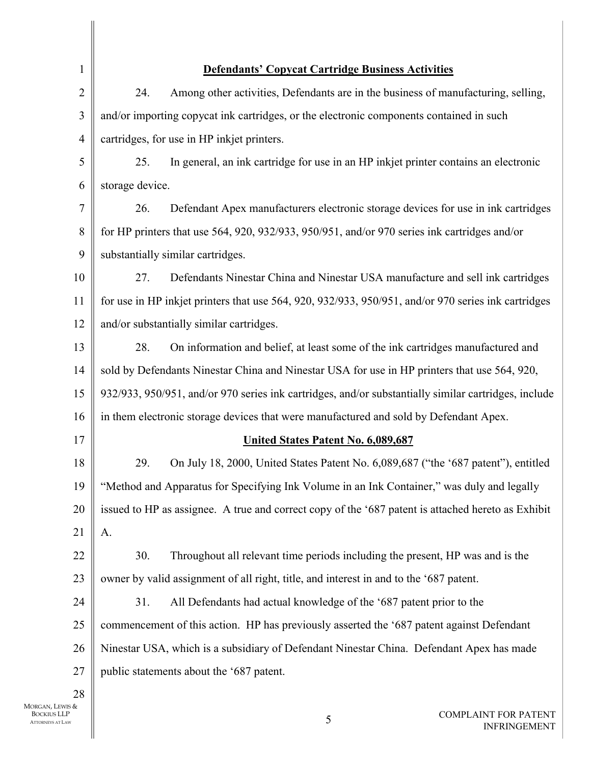| $\mathbf{1}$                      | <b>Defendants' Copycat Cartridge Business Activities</b>                                             |
|-----------------------------------|------------------------------------------------------------------------------------------------------|
| $\overline{2}$                    | Among other activities, Defendants are in the business of manufacturing, selling,<br>24.             |
| 3                                 | and/or importing copycat ink cartridges, or the electronic components contained in such              |
| 4                                 | cartridges, for use in HP inkjet printers.                                                           |
| 5                                 | In general, an ink cartridge for use in an HP inkjet printer contains an electronic<br>25.           |
| 6                                 | storage device.                                                                                      |
| 7                                 | Defendant Apex manufacturers electronic storage devices for use in ink cartridges<br>26.             |
| 8                                 | for HP printers that use 564, 920, 932/933, 950/951, and/or 970 series ink cartridges and/or         |
| 9                                 | substantially similar cartridges.                                                                    |
| 10                                | Defendants Ninestar China and Ninestar USA manufacture and sell ink cartridges<br>27.                |
| 11                                | for use in HP inkjet printers that use 564, 920, 932/933, 950/951, and/or 970 series ink cartridges  |
| 12                                | and/or substantially similar cartridges.                                                             |
| 13                                | 28.<br>On information and belief, at least some of the ink cartridges manufactured and               |
| 14                                | sold by Defendants Ninestar China and Ninestar USA for use in HP printers that use 564, 920,         |
| 15                                | 932/933, 950/951, and/or 970 series ink cartridges, and/or substantially similar cartridges, include |
| 16                                | in them electronic storage devices that were manufactured and sold by Defendant Apex.                |
| 17                                | <b>United States Patent No. 6,089,687</b>                                                            |
| 18                                | 29.<br>On July 18, 2000, United States Patent No. 6,089,687 ("the '687 patent"), entitled            |
| 19                                | "Method and Apparatus for Specifying Ink Volume in an Ink Container," was duly and legally           |
| 20                                | issued to HP as assignee. A true and correct copy of the '687 patent is attached hereto as Exhibit   |
| 21                                | A.                                                                                                   |
| 22                                | Throughout all relevant time periods including the present, HP was and is the<br>30.                 |
| 23                                | owner by valid assignment of all right, title, and interest in and to the '687 patent.               |
| 24                                | 31.<br>All Defendants had actual knowledge of the '687 patent prior to the                           |
| 25                                | commencement of this action. HP has previously asserted the '687 patent against Defendant            |
| 26                                | Ninestar USA, which is a subsidiary of Defendant Ninestar China. Defendant Apex has made             |
| 27                                | public statements about the '687 patent.                                                             |
| 28<br>LEWIS $\&$<br><b>JS LLP</b> | <b>COMPLAINT FOR PATENT</b><br>$\varsigma$                                                           |

 $\parallel$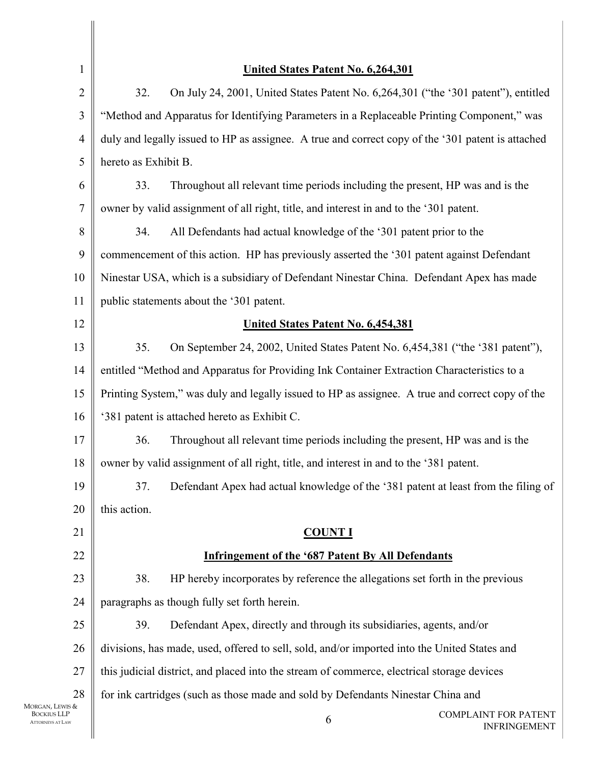| 1                                             | United States Patent No. 6,264,301                                                                |
|-----------------------------------------------|---------------------------------------------------------------------------------------------------|
| $\overline{2}$                                | 32.<br>On July 24, 2001, United States Patent No. 6,264,301 ("the '301 patent"), entitled         |
| 3                                             | "Method and Apparatus for Identifying Parameters in a Replaceable Printing Component," was        |
| $\overline{4}$                                | duly and legally issued to HP as assignee. A true and correct copy of the '301 patent is attached |
| 5                                             | hereto as Exhibit B.                                                                              |
| 6                                             | 33.<br>Throughout all relevant time periods including the present, HP was and is the              |
| 7                                             | owner by valid assignment of all right, title, and interest in and to the '301 patent.            |
| 8                                             | 34.<br>All Defendants had actual knowledge of the '301 patent prior to the                        |
| 9                                             | commencement of this action. HP has previously asserted the '301 patent against Defendant         |
| 10                                            | Ninestar USA, which is a subsidiary of Defendant Ninestar China. Defendant Apex has made          |
| 11                                            | public statements about the '301 patent.                                                          |
| 12                                            | United States Patent No. 6,454,381                                                                |
| 13                                            | 35.<br>On September 24, 2002, United States Patent No. 6,454,381 ("the '381 patent"),             |
| 14                                            | entitled "Method and Apparatus for Providing Ink Container Extraction Characteristics to a        |
| 15                                            | Printing System," was duly and legally issued to HP as assignee. A true and correct copy of the   |
| 16                                            | '381 patent is attached hereto as Exhibit C.                                                      |
| 17                                            | 36.<br>Throughout all relevant time periods including the present, HP was and is the              |
| 18                                            | owner by valid assignment of all right, title, and interest in and to the '381 patent.            |
| 19                                            | Defendant Apex had actual knowledge of the '381 patent at least from the filing of<br>37.         |
| 20                                            | this action.                                                                                      |
| 21                                            | <b>COUNT I</b>                                                                                    |
| 22                                            | <b>Infringement of the '687 Patent By All Defendants</b>                                          |
| 23                                            | HP hereby incorporates by reference the allegations set forth in the previous<br>38.              |
| 24                                            | paragraphs as though fully set forth herein.                                                      |
| 25                                            | Defendant Apex, directly and through its subsidiaries, agents, and/or<br>39.                      |
| 26                                            | divisions, has made, used, offered to sell, sold, and/or imported into the United States and      |
| 27                                            | this judicial district, and placed into the stream of commerce, electrical storage devices        |
| 28<br>Morgan, Lewis &                         | for ink cartridges (such as those made and sold by Defendants Ninestar China and                  |
| <b>BOCKIUS LLP</b><br><b>ATTORNEYS AT LAW</b> | <b>COMPLAINT FOR PATENT</b><br>6<br><b>INFRINGEMENT</b>                                           |
|                                               |                                                                                                   |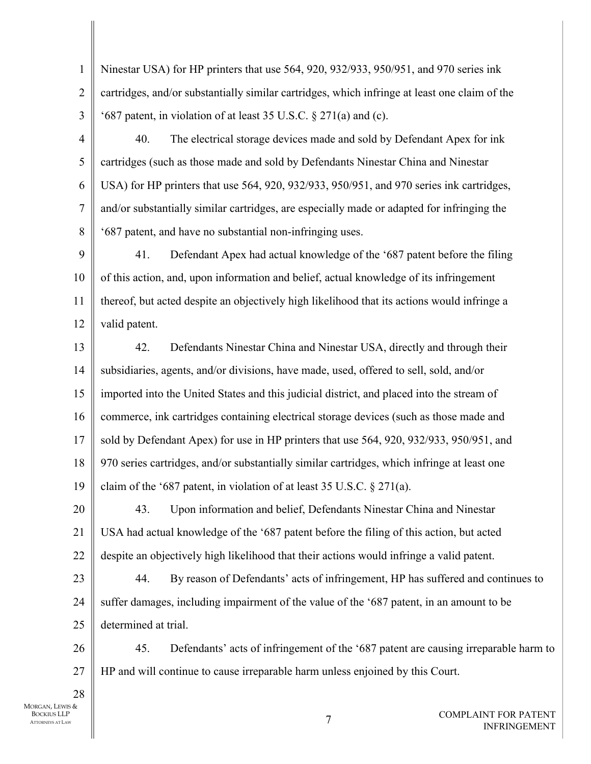1  $\mathfrak{D}$ 3 Ninestar USA) for HP printers that use 564, 920, 932/933, 950/951, and 970 series ink cartridges, and/or substantially similar cartridges, which infringe at least one claim of the '687 patent, in violation of at least 35 U.S.C. § 271(a) and (c).

4 5 6 7 8 40. The electrical storage devices made and sold by Defendant Apex for ink cartridges (such as those made and sold by Defendants Ninestar China and Ninestar USA) for HP printers that use 564, 920, 932/933, 950/951, and 970 series ink cartridges, and/or substantially similar cartridges, are especially made or adapted for infringing the '687 patent, and have no substantial non-infringing uses.

9 10 11 12 41. Defendant Apex had actual knowledge of the '687 patent before the filing of this action, and, upon information and belief, actual knowledge of its infringement thereof, but acted despite an objectively high likelihood that its actions would infringe a valid patent.

13 14 15 16 17 18 19 42. Defendants Ninestar China and Ninestar USA, directly and through their subsidiaries, agents, and/or divisions, have made, used, offered to sell, sold, and/or imported into the United States and this judicial district, and placed into the stream of commerce, ink cartridges containing electrical storage devices (such as those made and sold by Defendant Apex) for use in HP printers that use 564, 920, 932/933, 950/951, and 970 series cartridges, and/or substantially similar cartridges, which infringe at least one claim of the '687 patent, in violation of at least 35 U.S.C. § 271(a).

20 21 22 43. Upon information and belief, Defendants Ninestar China and Ninestar USA had actual knowledge of the '687 patent before the filing of this action, but acted despite an objectively high likelihood that their actions would infringe a valid patent.

23 24 25 44. By reason of Defendants' acts of infringement, HP has suffered and continues to suffer damages, including impairment of the value of the '687 patent, in an amount to be determined at trial.

26 27 45. Defendants' acts of infringement of the '687 patent are causing irreparable harm to HP and will continue to cause irreparable harm unless enjoined by this Court.

MORGAN, LEWIS & BOCKIUS LLP ATTORNEYS AT LAW

28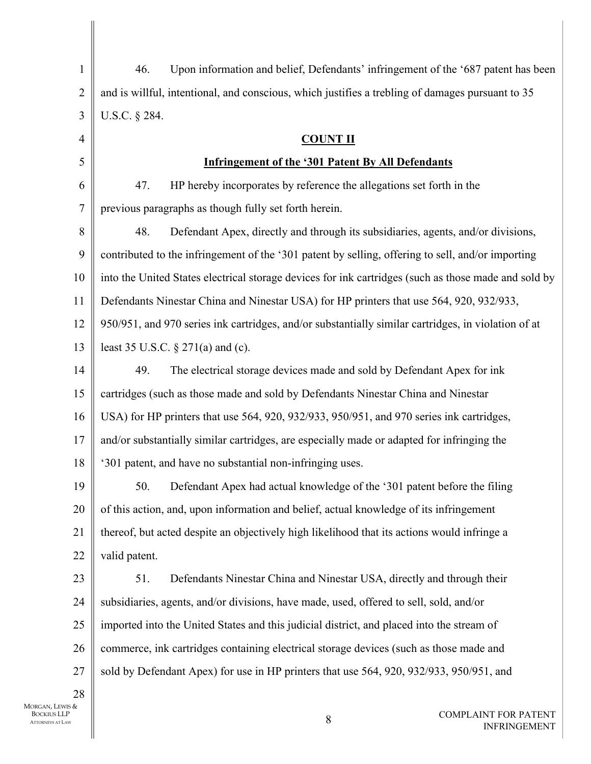| $\mathbf{1}$   | Upon information and belief, Defendants' infringement of the '687 patent has been<br>46.             |
|----------------|------------------------------------------------------------------------------------------------------|
| $\overline{2}$ | and is willful, intentional, and conscious, which justifies a trebling of damages pursuant to 35     |
| 3              | U.S.C. § 284.                                                                                        |
| 4              | <b>COUNT II</b>                                                                                      |
| 5              | <b>Infringement of the '301 Patent By All Defendants</b>                                             |
| 6              | HP hereby incorporates by reference the allegations set forth in the<br>47.                          |
| 7              | previous paragraphs as though fully set forth herein.                                                |
| $8\,$          | Defendant Apex, directly and through its subsidiaries, agents, and/or divisions,<br>48.              |
| 9              | contributed to the infringement of the '301 patent by selling, offering to sell, and/or importing    |
| 10             | into the United States electrical storage devices for ink cartridges (such as those made and sold by |
| 11             | Defendants Ninestar China and Ninestar USA) for HP printers that use 564, 920, 932/933,              |
| 12             | 950/951, and 970 series ink cartridges, and/or substantially similar cartridges, in violation of at  |
| 13             | least 35 U.S.C. $\S 271(a)$ and (c).                                                                 |
| 14             | The electrical storage devices made and sold by Defendant Apex for ink<br>49.                        |
| 15             | cartridges (such as those made and sold by Defendants Ninestar China and Ninestar                    |
| 16             | USA) for HP printers that use 564, 920, 932/933, 950/951, and 970 series ink cartridges,             |
| 17             | and/or substantially similar cartridges, are especially made or adapted for infringing the           |
| 18             | '301 patent, and have no substantial non-infringing uses.                                            |
| 19             | Defendant Apex had actual knowledge of the '301 patent before the filing<br>50.                      |
| 20             | of this action, and, upon information and belief, actual knowledge of its infringement               |
| 21             | thereof, but acted despite an objectively high likelihood that its actions would infringe a          |
| 22             | valid patent.                                                                                        |
| 23             | 51.<br>Defendants Ninestar China and Ninestar USA, directly and through their                        |
| 24             | subsidiaries, agents, and/or divisions, have made, used, offered to sell, sold, and/or               |
| 25             | imported into the United States and this judicial district, and placed into the stream of            |
| 26             | commerce, ink cartridges containing electrical storage devices (such as those made and               |
| 27             | sold by Defendant Apex) for use in HP printers that use 564, 920, 932/933, 950/951, and              |
| 28<br>IS &     |                                                                                                      |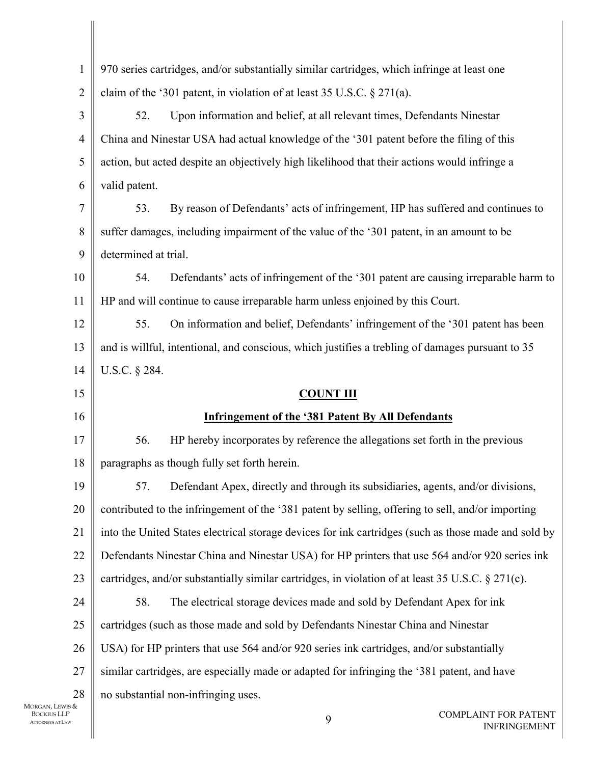| $\mathbf{1}$       | 970 series cartridges, and/or substantially similar cartridges, which infringe at least one          |
|--------------------|------------------------------------------------------------------------------------------------------|
| $\overline{c}$     | claim of the '301 patent, in violation of at least 35 U.S.C. $\S 271(a)$ .                           |
| 3                  | 52.<br>Upon information and belief, at all relevant times, Defendants Ninestar                       |
| $\overline{4}$     | China and Ninestar USA had actual knowledge of the '301 patent before the filing of this             |
| 5                  | action, but acted despite an objectively high likelihood that their actions would infringe a         |
| 6                  | valid patent.                                                                                        |
| $\overline{7}$     | 53.<br>By reason of Defendants' acts of infringement, HP has suffered and continues to               |
| 8                  | suffer damages, including impairment of the value of the '301 patent, in an amount to be             |
| 9                  | determined at trial.                                                                                 |
| 10                 | 54.<br>Defendants' acts of infringement of the '301 patent are causing irreparable harm to           |
| 11                 | HP and will continue to cause irreparable harm unless enjoined by this Court.                        |
| 12                 | 55.<br>On information and belief, Defendants' infringement of the '301 patent has been               |
| 13                 | and is willful, intentional, and conscious, which justifies a trebling of damages pursuant to 35     |
| 14                 | U.S.C. § 284.                                                                                        |
| 15                 | <b>COUNT III</b>                                                                                     |
| 16                 | <b>Infringement of the '381 Patent By All Defendants</b>                                             |
| 17                 | 56.<br>HP hereby incorporates by reference the allegations set forth in the previous                 |
| 18                 | paragraphs as though fully set forth herein.                                                         |
| 19                 | Defendant Apex, directly and through its subsidiaries, agents, and/or divisions,<br>57.              |
| 20                 | contributed to the infringement of the '381 patent by selling, offering to sell, and/or importing    |
| 21                 | into the United States electrical storage devices for ink cartridges (such as those made and sold by |
| 22                 | Defendants Ninestar China and Ninestar USA) for HP printers that use 564 and/or 920 series ink       |
| 23                 | cartridges, and/or substantially similar cartridges, in violation of at least 35 U.S.C. § 271(c).    |
| 24                 | The electrical storage devices made and sold by Defendant Apex for ink<br>58.                        |
| 25                 | cartridges (such as those made and sold by Defendants Ninestar China and Ninestar                    |
| 26                 | USA) for HP printers that use 564 and/or 920 series ink cartridges, and/or substantially             |
| 27                 | similar cartridges, are especially made or adapted for infringing the '381 patent, and have          |
| 28                 | no substantial non-infringing uses.                                                                  |
| vis &<br>LP<br>.AW | <b>COMPLAINT FOR PATENT</b><br>9<br><b>INFRINGEMENT</b>                                              |
|                    |                                                                                                      |

MORGAN, LEWIS & BOCKIUS LLP ATTORNEYS AT LAW

 $\overline{\phantom{a}}$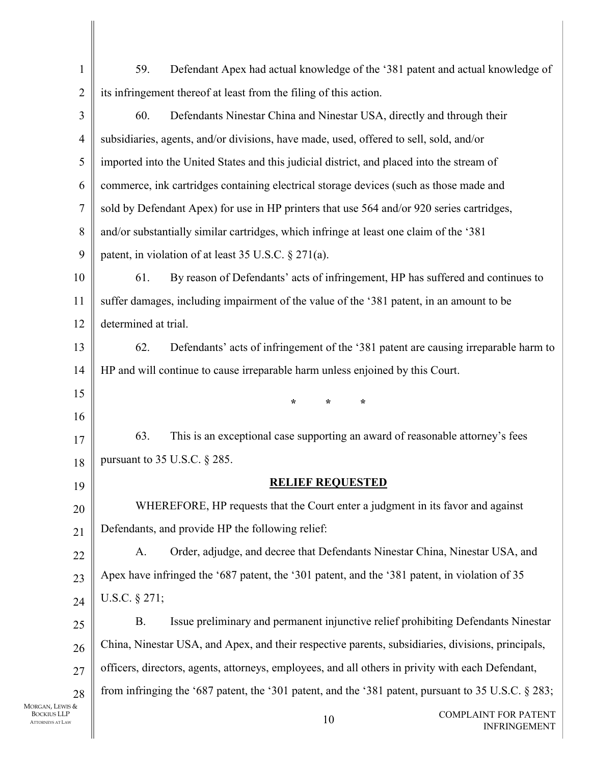| $\mathbf{1}$            | 59.<br>Defendant Apex had actual knowledge of the '381 patent and actual knowledge of                  |
|-------------------------|--------------------------------------------------------------------------------------------------------|
| $\overline{2}$          | its infringement thereof at least from the filing of this action.                                      |
| $\overline{\mathbf{3}}$ | 60.<br>Defendants Ninestar China and Ninestar USA, directly and through their                          |
| 4                       | subsidiaries, agents, and/or divisions, have made, used, offered to sell, sold, and/or                 |
| 5                       | imported into the United States and this judicial district, and placed into the stream of              |
| 6                       | commerce, ink cartridges containing electrical storage devices (such as those made and                 |
| $\boldsymbol{7}$        | sold by Defendant Apex) for use in HP printers that use 564 and/or 920 series cartridges,              |
| $8\,$                   | and/or substantially similar cartridges, which infringe at least one claim of the '381                 |
| 9                       | patent, in violation of at least 35 U.S.C. § 271(a).                                                   |
| 10                      | 61.<br>By reason of Defendants' acts of infringement, HP has suffered and continues to                 |
| 11                      | suffer damages, including impairment of the value of the '381 patent, in an amount to be               |
| 12                      | determined at trial.                                                                                   |
| 13                      | 62.<br>Defendants' acts of infringement of the '381 patent are causing irreparable harm to             |
| 14                      | HP and will continue to cause irreparable harm unless enjoined by this Court.                          |
| 15                      | $\star$<br>$\star$<br>$\star$                                                                          |
| 16                      |                                                                                                        |
| 17                      | 63.<br>This is an exceptional case supporting an award of reasonable attorney's fees                   |
| 18                      | pursuant to $35$ U.S.C. § 285.                                                                         |
| 19                      | <b>RELIEF REQUESTED</b>                                                                                |
| 20                      | WHEREFORE, HP requests that the Court enter a judgment in its favor and against                        |
| 21                      | Defendants, and provide HP the following relief:                                                       |
| 22                      | Order, adjudge, and decree that Defendants Ninestar China, Ninestar USA, and<br>A.                     |
| 23                      | Apex have infringed the '687 patent, the '301 patent, and the '381 patent, in violation of 35          |
| 24                      | U.S.C. $§$ 271;                                                                                        |
| 25                      | Issue preliminary and permanent injunctive relief prohibiting Defendants Ninestar<br>B.                |
| 26                      | China, Ninestar USA, and Apex, and their respective parents, subsidiaries, divisions, principals,      |
| 27                      | officers, directors, agents, attorneys, employees, and all others in privity with each Defendant,      |
| 28                      | from infringing the '687 patent, the '301 patent, and the '381 patent, pursuant to 35 U.S.C. $\S$ 283; |
| TS &<br>P<br>١W         | <b>COMPLAINT FOR PATENT</b><br>10<br><b>INFRINGEMENT</b>                                               |
|                         |                                                                                                        |

 $\mathbf{I}$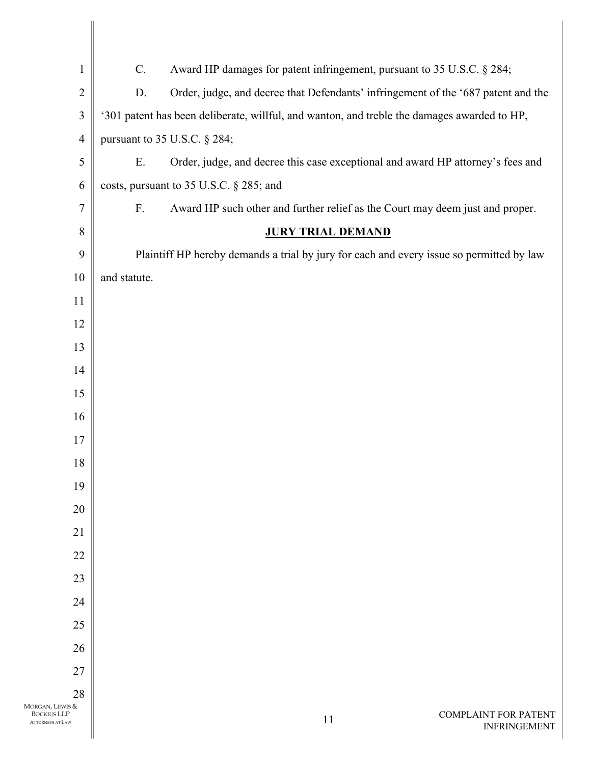| $\mathbf{1}$                                                     | Award HP damages for patent infringement, pursuant to 35 U.S.C. § 284;<br>$\mathcal{C}$ .    |
|------------------------------------------------------------------|----------------------------------------------------------------------------------------------|
| $\sqrt{2}$                                                       | Order, judge, and decree that Defendants' infringement of the '687 patent and the<br>D.      |
| $\mathfrak{Z}$                                                   | '301 patent has been deliberate, willful, and wanton, and treble the damages awarded to HP,  |
| $\overline{4}$                                                   | pursuant to $35$ U.S.C. § 284;                                                               |
| 5                                                                | Ε.<br>Order, judge, and decree this case exceptional and award HP attorney's fees and        |
| 6                                                                | costs, pursuant to 35 U.S.C. § 285; and                                                      |
| $\tau$                                                           | $F_{\cdot}$<br>Award HP such other and further relief as the Court may deem just and proper. |
| $8\,$                                                            | <b>JURY TRIAL DEMAND</b>                                                                     |
| 9                                                                | Plaintiff HP hereby demands a trial by jury for each and every issue so permitted by law     |
| $10\,$                                                           | and statute.                                                                                 |
| $11\,$                                                           |                                                                                              |
| 12                                                               |                                                                                              |
| 13                                                               |                                                                                              |
| 14                                                               |                                                                                              |
| 15                                                               |                                                                                              |
| 16                                                               |                                                                                              |
| 17                                                               |                                                                                              |
| 18                                                               |                                                                                              |
| 19                                                               |                                                                                              |
| 20                                                               |                                                                                              |
| 21                                                               |                                                                                              |
| 22                                                               |                                                                                              |
| 23<br>24                                                         |                                                                                              |
| 25                                                               |                                                                                              |
| 26                                                               |                                                                                              |
| 27                                                               |                                                                                              |
| 28                                                               |                                                                                              |
| MORGAN, LEWIS &<br><b>BOCKIUS LLP</b><br><b>ATTORNEYS AT LAW</b> | <b>COMPLAINT FOR PATENT</b><br>11<br><b>INFRINGEMENT</b>                                     |

 $\mathbf{I}$